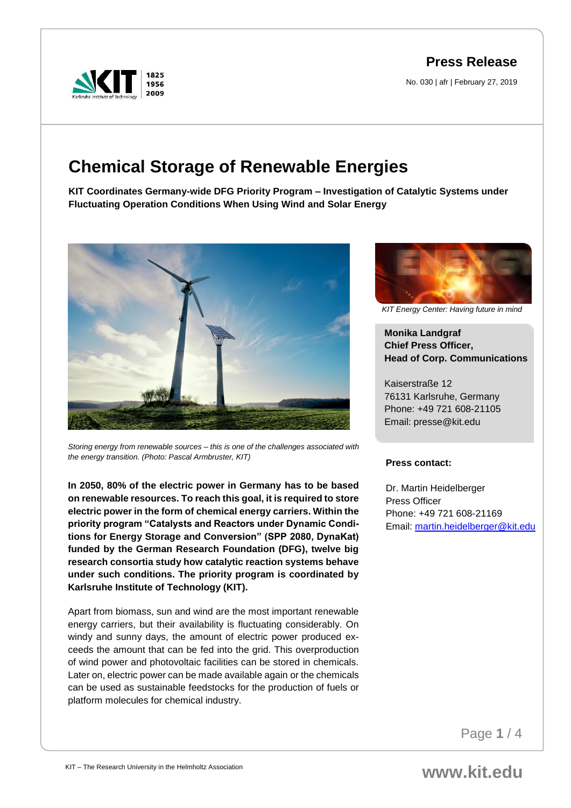**Press Release**

No. 030 | afr | February 27, 2019



## **Chemical Storage of Renewable Energies**

**KIT Coordinates Germany-wide DFG Priority Program – Investigation of Catalytic Systems under Fluctuating Operation Conditions When Using Wind and Solar Energy**



*Storing energy from renewable sources – this is one of the challenges associated with the energy transition. (Photo: Pascal Armbruster, KIT)*

**In 2050, 80% of the electric power in Germany has to be based on renewable resources. To reach this goal, it is required to store electric power in the form of chemical energy carriers. Within the priority program "Catalysts and Reactors under Dynamic Conditions for Energy Storage and Conversion" (SPP 2080, DynaKat) funded by the German Research Foundation (DFG), twelve big research consortia study how catalytic reaction systems behave under such conditions. The priority program is coordinated by Karlsruhe Institute of Technology (KIT).** 

Apart from biomass, sun and wind are the most important renewable energy carriers, but their availability is fluctuating considerably. On windy and sunny days, the amount of electric power produced exceeds the amount that can be fed into the grid. This overproduction of wind power and photovoltaic facilities can be stored in chemicals. Later on, electric power can be made available again or the chemicals can be used as sustainable feedstocks for the production of fuels or platform molecules for chemical industry.



*KIT Energy Center: Having future in mind*

**Monika Landgraf Chief Press Officer, Head of Corp. Communications**

Kaiserstraße 12 76131 Karlsruhe, Germany Phone: +49 721 608-21105 Email: presse@kit.edu

## **Press contact:**

Dr. Martin Heidelberger Press Officer Phone: +49 721 608-21169 Email: [martin.heidelberger@kit.edu](mailto:martin.heidelberger@kit.edu)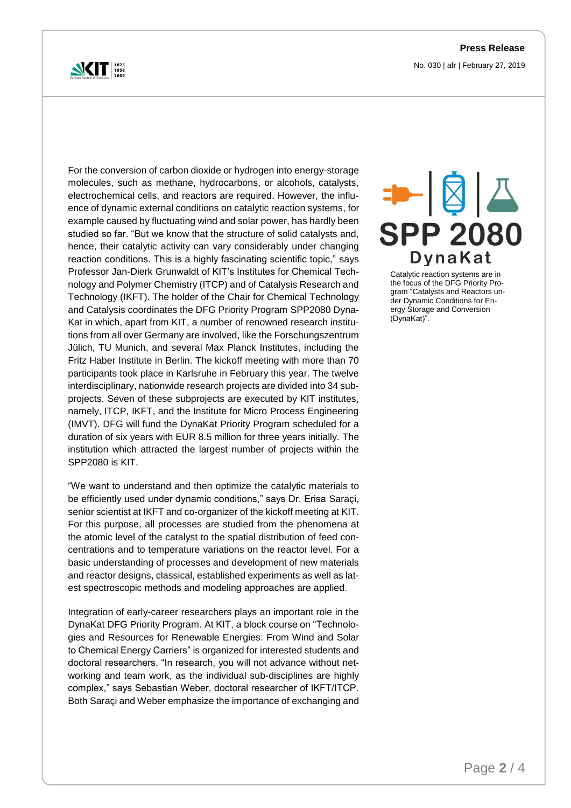

No. 030 | afr | February 27, 2019

For the conversion of carbon dioxide or hydrogen into energy-storage molecules, such as methane, hydrocarbons, or alcohols, catalysts, electrochemical cells, and reactors are required. However, the influence of dynamic external conditions on catalytic reaction systems, for example caused by fluctuating wind and solar power, has hardly been studied so far. "But we know that the structure of solid catalysts and, hence, their catalytic activity can vary considerably under changing reaction conditions. This is a highly fascinating scientific topic," says Professor Jan-Dierk Grunwaldt of KIT's Institutes for Chemical Technology and Polymer Chemistry (ITCP) and of Catalysis Research and Technology (IKFT). The holder of the Chair for Chemical Technology and Catalysis coordinates the DFG Priority Program SPP2080 Dyna-Kat in which, apart from KIT, a number of renowned research institutions from all over Germany are involved, like the Forschungszentrum Jülich, TU Munich, and several Max Planck Institutes, including the Fritz Haber Institute in Berlin. The kickoff meeting with more than 70 participants took place in Karlsruhe in February this year. The twelve interdisciplinary, nationwide research projects are divided into 34 subprojects. Seven of these subprojects are executed by KIT institutes, namely, ITCP, IKFT, and the Institute for Micro Process Engineering (IMVT). DFG will fund the DynaKat Priority Program scheduled for a duration of six years with EUR 8.5 million for three years initially. The institution which attracted the largest number of projects within the SPP2080 is KIT.

"We want to understand and then optimize the catalytic materials to be efficiently used under dynamic conditions," says Dr. Erisa Saraçi, senior scientist at IKFT and co-organizer of the kickoff meeting at KIT. For this purpose, all processes are studied from the phenomena at the atomic level of the catalyst to the spatial distribution of feed concentrations and to temperature variations on the reactor level. For a basic understanding of processes and development of new materials and reactor designs, classical, established experiments as well as latest spectroscopic methods and modeling approaches are applied.

Integration of early-career researchers plays an important role in the DynaKat DFG Priority Program. At KIT, a block course on "Technologies and Resources for Renewable Energies: From Wind and Solar to Chemical Energy Carriers" is organized for interested students and doctoral researchers. "In research, you will not advance without networking and team work, as the individual sub-disciplines are highly complex," says Sebastian Weber, doctoral researcher of IKFT/ITCP. Both Saraçi and Weber emphasize the importance of exchanging and



Catalytic reaction systems are in the focus of the DFG Priority Program "Catalysts and Reactors under Dynamic Conditions for Energy Storage and Conversion (DynaKat)".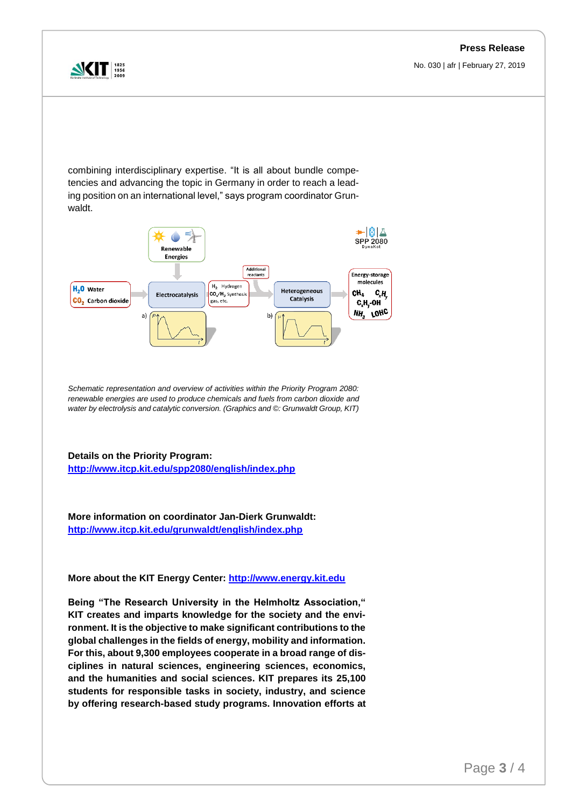No. 030 | afr | February 27, 2019



combining interdisciplinary expertise. "It is all about bundle competencies and advancing the topic in Germany in order to reach a leading position on an international level," says program coordinator Grunwaldt.



*Schematic representation and overview of activities within the Priority Program 2080: renewable energies are used to produce chemicals and fuels from carbon dioxide and water by electrolysis and catalytic conversion. (Graphics and ©: Grunwaldt Group, KIT)*

**Details on the Priority Program: <http://www.itcp.kit.edu/spp2080/english/index.php>**

**More information on coordinator Jan-Dierk Grunwaldt: <http://www.itcp.kit.edu/grunwaldt/english/index.php>**

**More about the KIT Energy Center: [http://www.energy.kit.edu](http://www.energy.kit.edu/)**

**Being "The Research University in the Helmholtz Association," KIT creates and imparts knowledge for the society and the environment. It is the objective to make significant contributions to the global challenges in the fields of energy, mobility and information. For this, about 9,300 employees cooperate in a broad range of disciplines in natural sciences, engineering sciences, economics, and the humanities and social sciences. KIT prepares its 25,100 students for responsible tasks in society, industry, and science by offering research-based study programs. Innovation efforts at**